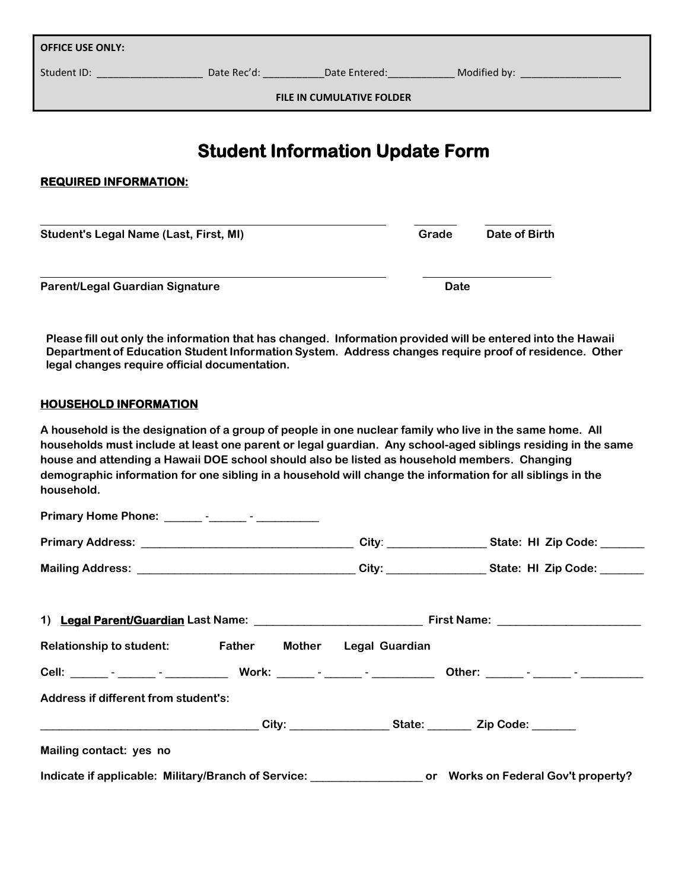| <b>OFFICE USE ONLY:</b>                |  |  |             |               |  |  |  |  |
|----------------------------------------|--|--|-------------|---------------|--|--|--|--|
|                                        |  |  |             |               |  |  |  |  |
| <b>FILE IN CUMULATIVE FOLDER</b>       |  |  |             |               |  |  |  |  |
| <b>Student Information Update Form</b> |  |  |             |               |  |  |  |  |
| <b>REQUIRED INFORMATION:</b>           |  |  |             |               |  |  |  |  |
| Student's Legal Name (Last, First, MI) |  |  | Grade       | Date of Birth |  |  |  |  |
| Parent/Legal Guardian Signature        |  |  | <b>Date</b> |               |  |  |  |  |

**Please fill out only the information that has changed. Information provided will be entered into the Hawaii Department of Education Student Information System. Address changes require proof of residence. Other legal changes require official documentation.**

## **HOUSEHOLD INFORMATION**

**A household is the designation of a group of people in one nuclear family who live in the same home. All households must include at least one parent or legal guardian. Any school-aged siblings residing in the same house and attending a Hawaii DOE school should also be listed as household members. Changing demographic information for one sibling in a household will change the information for all siblings in the household.**

| Relationship to student: Father Mother Legal Guardian                                           |  |  |                                                                                                              |  |
|-------------------------------------------------------------------------------------------------|--|--|--------------------------------------------------------------------------------------------------------------|--|
|                                                                                                 |  |  |                                                                                                              |  |
| Address if different from student's:                                                            |  |  |                                                                                                              |  |
| _____________________________________City: _________________State: __________Zip Code: ________ |  |  |                                                                                                              |  |
| Mailing contact: yes no                                                                         |  |  |                                                                                                              |  |
|                                                                                                 |  |  | Indicate if applicable: Military/Branch of Service: ____________________ or Works on Federal Gov't property? |  |